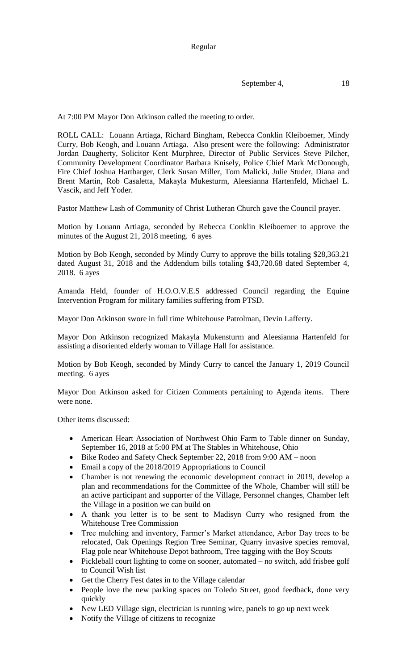September 4, 18

At 7:00 PM Mayor Don Atkinson called the meeting to order.

ROLL CALL: Louann Artiaga, Richard Bingham, Rebecca Conklin Kleiboemer, Mindy Curry, Bob Keogh, and Louann Artiaga. Also present were the following: Administrator Jordan Daugherty, Solicitor Kent Murphree, Director of Public Services Steve Pilcher, Community Development Coordinator Barbara Knisely, Police Chief Mark McDonough, Fire Chief Joshua Hartbarger, Clerk Susan Miller, Tom Malicki, Julie Studer, Diana and Brent Martin, Rob Casaletta, Makayla Mukesturm, Aleesianna Hartenfeld, Michael L. Vascik, and Jeff Yoder.

Pastor Matthew Lash of Community of Christ Lutheran Church gave the Council prayer.

Motion by Louann Artiaga, seconded by Rebecca Conklin Kleiboemer to approve the minutes of the August 21, 2018 meeting. 6 ayes

Motion by Bob Keogh, seconded by Mindy Curry to approve the bills totaling \$28,363.21 dated August 31, 2018 and the Addendum bills totaling \$43,720.68 dated September 4, 2018. 6 ayes

Amanda Held, founder of H.O.O.V.E.S addressed Council regarding the Equine Intervention Program for military families suffering from PTSD.

Mayor Don Atkinson swore in full time Whitehouse Patrolman, Devin Lafferty.

Mayor Don Atkinson recognized Makayla Mukensturm and Aleesianna Hartenfeld for assisting a disoriented elderly woman to Village Hall for assistance.

Motion by Bob Keogh, seconded by Mindy Curry to cancel the January 1, 2019 Council meeting. 6 ayes

Mayor Don Atkinson asked for Citizen Comments pertaining to Agenda items. There were none.

Other items discussed:

- American Heart Association of Northwest Ohio Farm to Table dinner on Sunday, September 16, 2018 at 5:00 PM at The Stables in Whitehouse, Ohio
- Bike Rodeo and Safety Check September 22, 2018 from 9:00 AM noon
- Email a copy of the 2018/2019 Appropriations to Council
- Chamber is not renewing the economic development contract in 2019, develop a plan and recommendations for the Committee of the Whole, Chamber will still be an active participant and supporter of the Village, Personnel changes, Chamber left the Village in a position we can build on
- A thank you letter is to be sent to Madisyn Curry who resigned from the Whitehouse Tree Commission
- Tree mulching and inventory, Farmer's Market attendance, Arbor Day trees to be relocated, Oak Openings Region Tree Seminar, Quarry invasive species removal, Flag pole near Whitehouse Depot bathroom, Tree tagging with the Boy Scouts
- Pickleball court lighting to come on sooner, automated no switch, add frisbee golf to Council Wish list
- Get the Cherry Fest dates in to the Village calendar
- People love the new parking spaces on Toledo Street, good feedback, done very quickly
- New LED Village sign, electrician is running wire, panels to go up next week
- Notify the Village of citizens to recognize